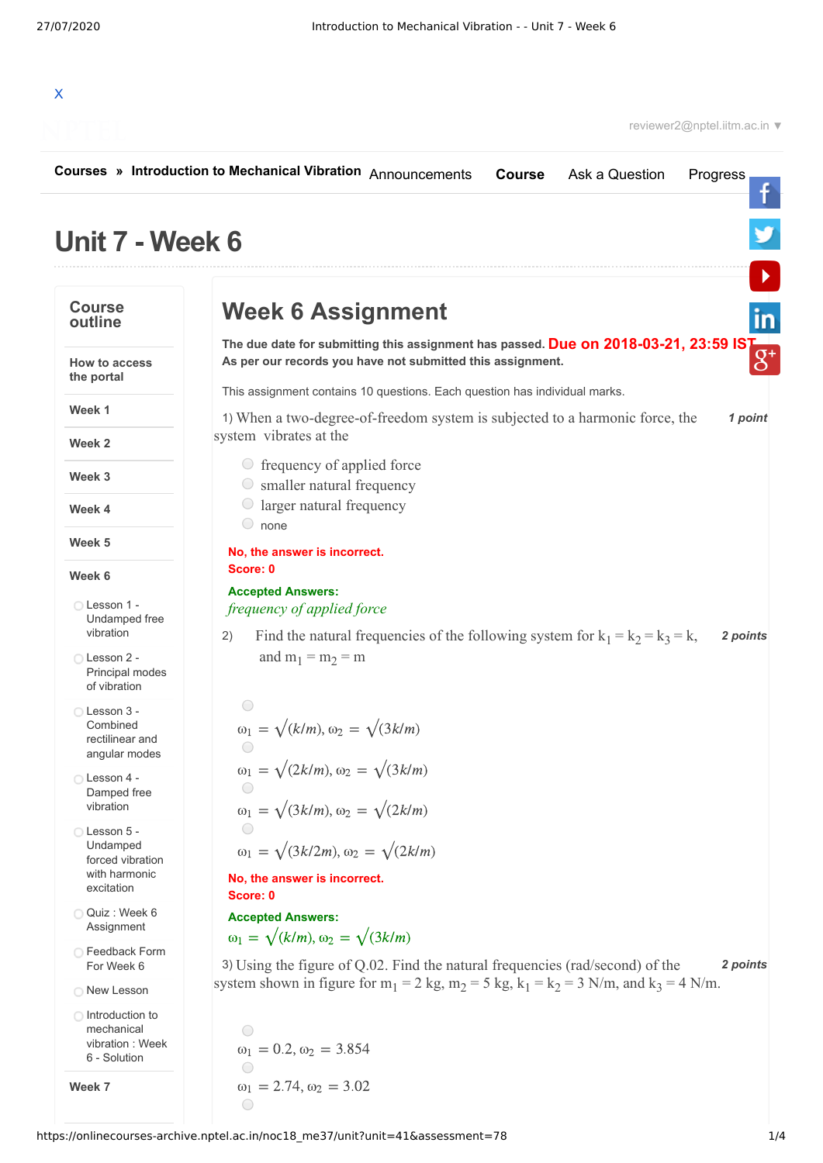

|                                                                           | Courses » Introduction to Mechanical Vibration Announcements<br>Ask a Question<br><b>Course</b><br>Progress                                                           |
|---------------------------------------------------------------------------|-----------------------------------------------------------------------------------------------------------------------------------------------------------------------|
| <b>Unit 7 - Week 6</b>                                                    |                                                                                                                                                                       |
| <b>Course</b><br>outline                                                  | <b>Week 6 Assignment</b>                                                                                                                                              |
| <b>How to access</b><br>the portal                                        | The due date for submitting this assignment has passed. Due on 2018-03-21, 23:59 IST<br>As per our records you have not submitted this assignment.                    |
| Week 1                                                                    | This assignment contains 10 questions. Each question has individual marks.<br>1) When a two-degree-of-freedom system is subjected to a harmonic force, the<br>1 point |
| Week 2                                                                    | system vibrates at the                                                                                                                                                |
| Week 3                                                                    | $\circ$ frequency of applied force<br>$\circ$ smaller natural frequency                                                                                               |
| Week 4                                                                    | $\circ$ larger natural frequency<br>$\circ$ none                                                                                                                      |
| Week 5                                                                    | No, the answer is incorrect.                                                                                                                                          |
| Week 6                                                                    | Score: 0                                                                                                                                                              |
| ◯ Lesson 1 -<br>Undamped free<br>vibration                                | <b>Accepted Answers:</b><br>frequency of applied force<br>Find the natural frequencies of the following system for $k_1 = k_2 = k_3 = k$ ,<br>2 points<br>2)          |
| ◯ Lesson 2 -<br>Principal modes<br>of vibration                           | and $m_1 = m_2 = m$                                                                                                                                                   |
| ◯ Lesson 3 -<br>Combined<br>rectilinear and<br>angular modes              | $\bigcirc$<br>$\omega_1 = \sqrt{k/m}, \omega_2 = \sqrt{3k/m}$<br>$\omega_1 = \sqrt{2k/m}, \omega_2 = \sqrt{3k/m}$                                                     |
| ◯ Lesson 4 -<br>Damped free<br>vibration                                  | $\bigcirc$<br>$\omega_1 = \sqrt{3k/m}, \omega_2 = \sqrt{2k/m}$                                                                                                        |
| Lesson 5 -<br>Undamped<br>forced vibration<br>with harmonic<br>excitation | $\omega_1 = \sqrt{(3k/2m)}$ , $\omega_2 = \sqrt{(2k/m)}$<br>No, the answer is incorrect.<br>Score: 0                                                                  |
| Quiz : Week 6<br>Assignment                                               | <b>Accepted Answers:</b>                                                                                                                                              |
| ◯ Feedback Form<br>For Week 6                                             | $\omega_1 = \sqrt{k/m}, \omega_2 = \sqrt{3k/m}$<br>3) Using the figure of Q.02. Find the natural frequencies (rad/second) of the<br>2 points                          |
| O New Lesson                                                              | system shown in figure for $m_1 = 2$ kg, $m_2 = 5$ kg, $k_1 = k_2 = 3$ N/m, and $k_3 = 4$ N/m.                                                                        |
| ◯ Introduction to<br>mechanical<br>vibration : Week<br>6 - Solution       | ○<br>$\omega_1 = 0.2, \omega_2 = 3.854$                                                                                                                               |
| Week 7                                                                    | $\bigcirc$<br>$\omega_1 = 2.74, \omega_2 = 3.02$<br>$\bigcirc$                                                                                                        |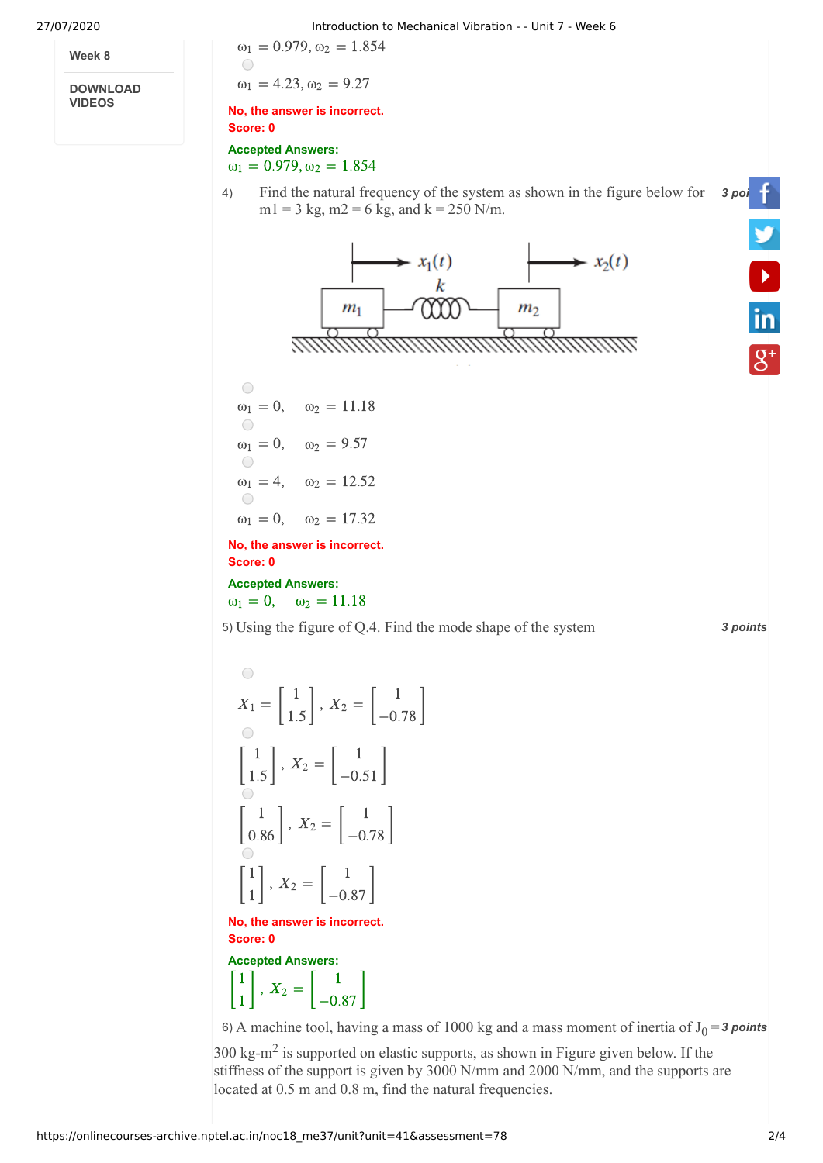**Week 8**

**DOWNLOAD VIDEOS**

27/07/2020 Introduction to Mechanical Vibration - - Unit 7 - Week 6

 $\omega_1 = 0.979, \omega_2 = 1.854$ O

 $\omega_1 = 4.23, \omega_2 = 9.27$ 

**No, the answer is incorrect. Score: 0**

**Accepted Answers:**  $\omega_1 = 0.979, \omega_2 = 1.854$ 







**No, the answer is incorrect. Score: 0**

**Accepted Answers:**  $\omega_1 = 0$ ,  $\omega_2 = 11.18$ 

5) *3 points* Using the figure of Q.4. Find the mode shape of the system

 $\bigcirc$  $X_1 = \begin{bmatrix} 1 \\ 1.5 \end{bmatrix}, X_2 = \begin{bmatrix} 1 \\ -0.78 \end{bmatrix}$  $X_2 = \begin{bmatrix} 1 \\ 2 \end{bmatrix}$ 1.5 −0.78 1  $X_2 = \begin{bmatrix} 1 \\ 2 \end{bmatrix}$  $\begin{bmatrix} 1 \\ 1.5 \end{bmatrix}$ ,  $X_2 = \begin{bmatrix} 1 \\ -0.51 \end{bmatrix}$ 1.5  $-0.51$ 1  $X_2 = \begin{bmatrix} 1 \\ 2 \end{bmatrix}$  $\begin{bmatrix} 1 \\ 0.86 \end{bmatrix}$ ,  $X_2 = \begin{bmatrix} 1 \\ -0.78 \end{bmatrix}$ 0.86 −0.78 1  $X_2 = \begin{bmatrix} 1 \\ 2 \end{bmatrix}$  $\begin{bmatrix} 1 \\ 1 \end{bmatrix}$ ,  $X_2 = \begin{bmatrix} 1 \\ -0.87 \end{bmatrix}$ 1 −0.87

**No, the answer is incorrect. Score: 0**

**Accepted Answers:** 1

 $\begin{bmatrix} 1 \\ 1 \end{bmatrix}$ ,  $X_2 = \begin{bmatrix} 1 \\ -0.87 \end{bmatrix}$ 1  $X_2 = \begin{bmatrix} 1 \\ 2 \end{bmatrix}$ −0.87

6) A machine tool, having a mass of 1000 kg and a mass moment of inertia of  $J_0 = 3$  points

 $300 \text{ kg-m}^2$  is supported on elastic supports, as shown in Figure given below. If the stiffness of the support is given by 3000 N/mm and 2000 N/mm, and the supports are located at 0.5 m and 0.8 m, find the natural frequencies.

**V**<br>in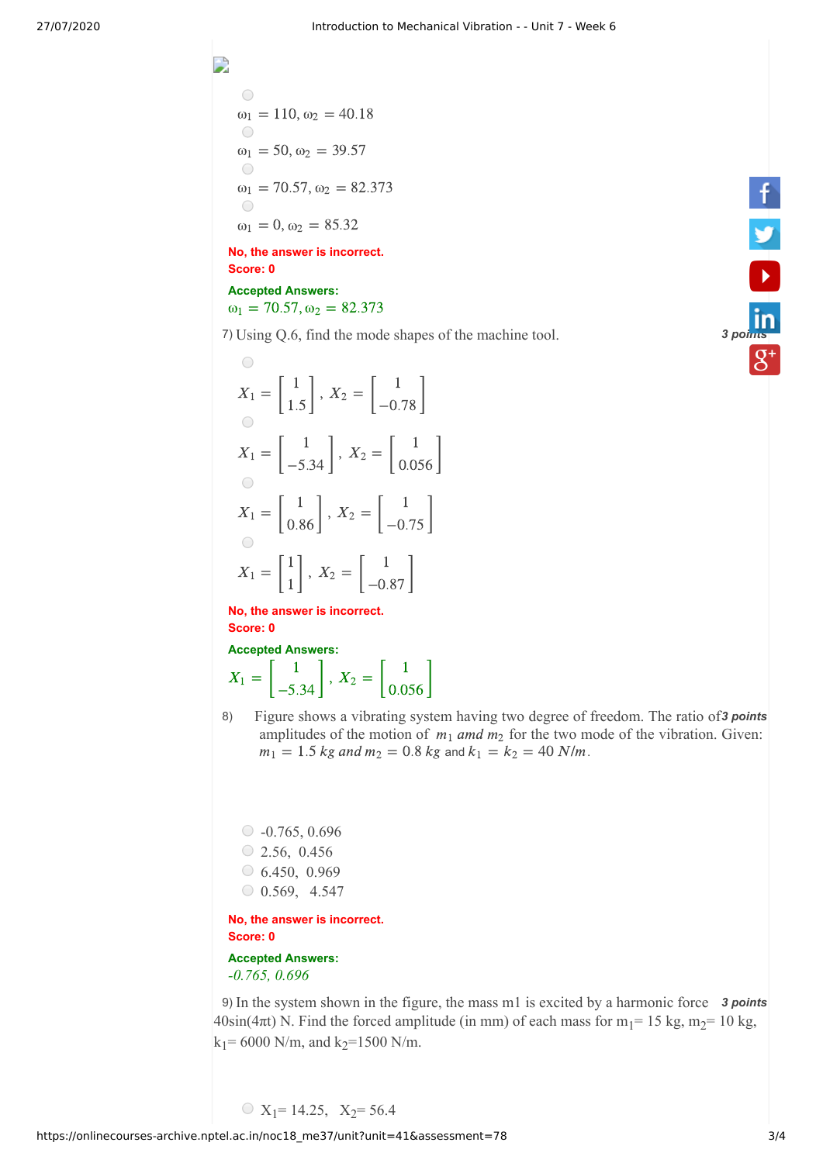$\bigcirc$  $\omega_1 = 110, \omega_2 = 40.18$  $\bigcirc$  $\omega_1 = 50, \omega_2 = 39.57$  $\bigcirc$  $\omega_1 = 70.57, \omega_2 = 82.373$  $\bigcap$  $\omega_1 = 0, \omega_2 = 85.32$ 

D

**No, the answer is incorrect. Score: 0**

**Accepted Answers:**  $\omega_1 = 70.57, \omega_2 = 82.373$ 

7) *3 [points](https://www.linkedin.com/company/nptel/)* Using Q.6, find the mode shapes of the machine tool.

$$
X_1 = \begin{bmatrix} 1 \\ 1.5 \end{bmatrix}, X_2 = \begin{bmatrix} 1 \\ -0.78 \end{bmatrix}
$$

$$
X_1 = \begin{bmatrix} 1 \\ -5.34 \end{bmatrix}, X_2 = \begin{bmatrix} 1 \\ 0.056 \end{bmatrix}
$$

$$
X_1 = \begin{bmatrix} 1 \\ 0.86 \end{bmatrix}, X_2 = \begin{bmatrix} 1 \\ -0.75 \end{bmatrix}
$$

$$
X_1 = \begin{bmatrix} 1 \\ 1 \end{bmatrix}, X_2 = \begin{bmatrix} 1 \\ -0.87 \end{bmatrix}
$$

**No, the answer is incorrect. Score: 0**

**Accepted Answers:**  

$$
X_1 = \begin{bmatrix} 1 \\ -5.34 \end{bmatrix}, X_2 = \begin{bmatrix} 1 \\ 0.056 \end{bmatrix}
$$

8) Figure shows a vibrating system having two degree of freedom. The ratio of 3 points amplitudes of the motion of  $m_1$  amd  $m_2$  for the two mode of the vibration. Given:  $m_1 = 1.5$  kg and  $m_2 = 0.8$  kg and  $k_1 = k_2 = 40$  N/m.

 $\circ$  -0.765, 0.696  $\circ$  2.56, 0.456  $\circ$  6.450, 0.969  $\circ$  0.569, 4.547

**No, the answer is incorrect. Score: 0**

**Accepted Answers:** *-0.765, 0.696* 

9) In the system shown in the figure, the mass m1 is excited by a harmonic force 3 points  $40\sin(4\pi t)$  N. Find the forced amplitude (in mm) of each mass for m<sub>1</sub>= 15 kg, m<sub>2</sub>= 10 kg,  $k_1$ = 6000 N/m, and  $k_2$ =1500 N/m.